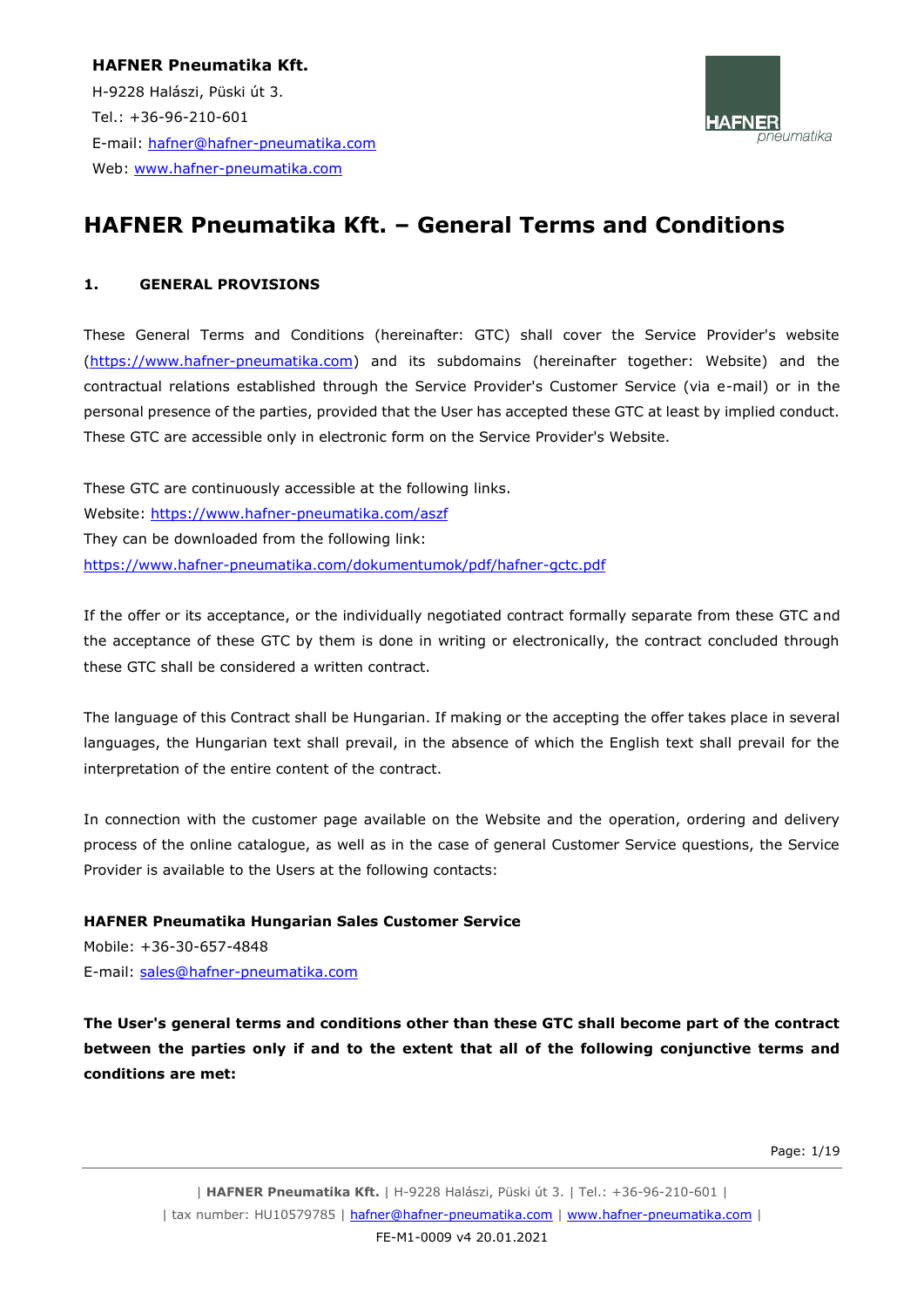**HAFNER Pneumatika Kft.** H-9228 Halászi, Püski út 3. Tel.: +36-96-210-601 E-mail: [hafner@hafner-pneumatika.com](mailto:hafner@hafner-pneumatika.com) Web: [www.hafner-pneumatika.com](http://www.hafner-pneumatika.com/)



# **HAFNER Pneumatika Kft. – General Terms and Conditions**

#### **1. GENERAL PROVISIONS**

These General Terms and Conditions (hereinafter: GTC) shall cover the Service Provider's website [\(https://www.hafner-pneumatika.com\)](http://www.hafner-pneumatika.com/) and its subdomains (hereinafter together: Website) and the contractual relations established through the Service Provider's Customer Service (via e-mail) or in the personal presence of the parties, provided that the User has accepted these GTC at least by implied conduct. These GTC are accessible only in electronic form on the Service Provider's Website.

These GTC are continuously accessible at the following links. Website:<https://www.hafner-pneumatika.com/aszf> They can be downloaded from the following link: <https://www.hafner-pneumatika.com/dokumentumok/pdf/hafner-gctc.pdf>

If the offer or its acceptance, or the individually negotiated contract formally separate from these GTC and the acceptance of these GTC by them is done in writing or electronically, the contract concluded through these GTC shall be considered a written contract.

The language of this Contract shall be Hungarian. If making or the accepting the offer takes place in several languages, the Hungarian text shall prevail, in the absence of which the English text shall prevail for the interpretation of the entire content of the contract.

In connection with the customer page available on the Website and the operation, ordering and delivery process of the online catalogue, as well as in the case of general Customer Service questions, the Service Provider is available to the Users at the following contacts:

#### **HAFNER Pneumatika Hungarian Sales Customer Service**

Mobile: +36-30-657-4848 E-mail: [sales@hafner-pneumatika.com](mailto:sales@hafner-pneumatika.com)

**The User's general terms and conditions other than these GTC shall become part of the contract between the parties only if and to the extent that all of the following conjunctive terms and conditions are met:**

Page: 1/19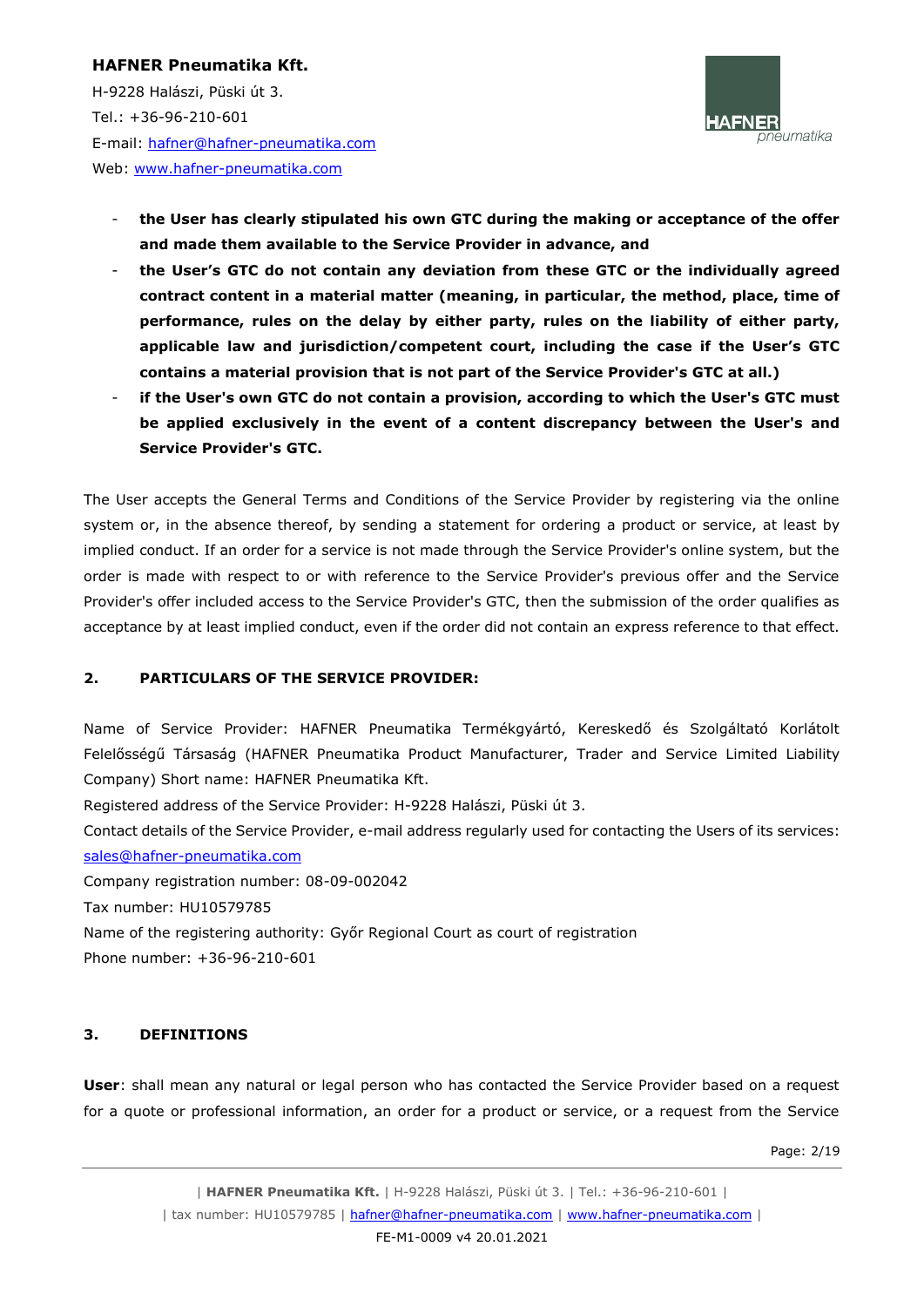H-9228 Halászi, Püski út 3. Tel.: +36-96-210-601 E-mail: [hafner@hafner-pneumatika.com](mailto:hafner@hafner-pneumatika.com) Web: [www.hafner-pneumatika.com](http://www.hafner-pneumatika.com/)



- the User has clearly stipulated his own GTC during the making or acceptance of the offer **and made them available to the Service Provider in advance, and**
- **the User's GTC do not contain any deviation from these GTC or the individually agreed contract content in a material matter (meaning, in particular, the method, place, time of performance, rules on the delay by either party, rules on the liability of either party, applicable law and jurisdiction/competent court, including the case if the User's GTC contains a material provision that is not part of the Service Provider's GTC at all.)**
- if the User's own GTC do not contain a provision, according to which the User's GTC must **be applied exclusively in the event of a content discrepancy between the User's and Service Provider's GTC.**

The User accepts the General Terms and Conditions of the Service Provider by registering via the online system or, in the absence thereof, by sending a statement for ordering a product or service, at least by implied conduct. If an order for a service is not made through the Service Provider's online system, but the order is made with respect to or with reference to the Service Provider's previous offer and the Service Provider's offer included access to the Service Provider's GTC, then the submission of the order qualifies as acceptance by at least implied conduct, even if the order did not contain an express reference to that effect.

# **2. PARTICULARS OF THE SERVICE PROVIDER:**

Name of Service Provider: HAFNER Pneumatika Termékgyártó, Kereskedő és Szolgáltató Korlátolt Felelősségű Társaság (HAFNER Pneumatika Product Manufacturer, Trader and Service Limited Liability Company) Short name: HAFNER Pneumatika Kft.

Registered address of the Service Provider: H-9228 Halászi, Püski út 3.

Contact details of the Service Provider, e-mail address regularly used for contacting the Users of its services:

[sales@hafner-pneumatika.com](mailto:sales@hafner-pneumatika.com)

Company registration number: 08-09-002042 Tax number: HU10579785 Name of the registering authority: Győr Regional Court as court of registration Phone number: +36-96-210-601

#### **3. DEFINITIONS**

**User**: shall mean any natural or legal person who has contacted the Service Provider based on a request for a quote or professional information, an order for a product or service, or a request from the Service

Page: 2/19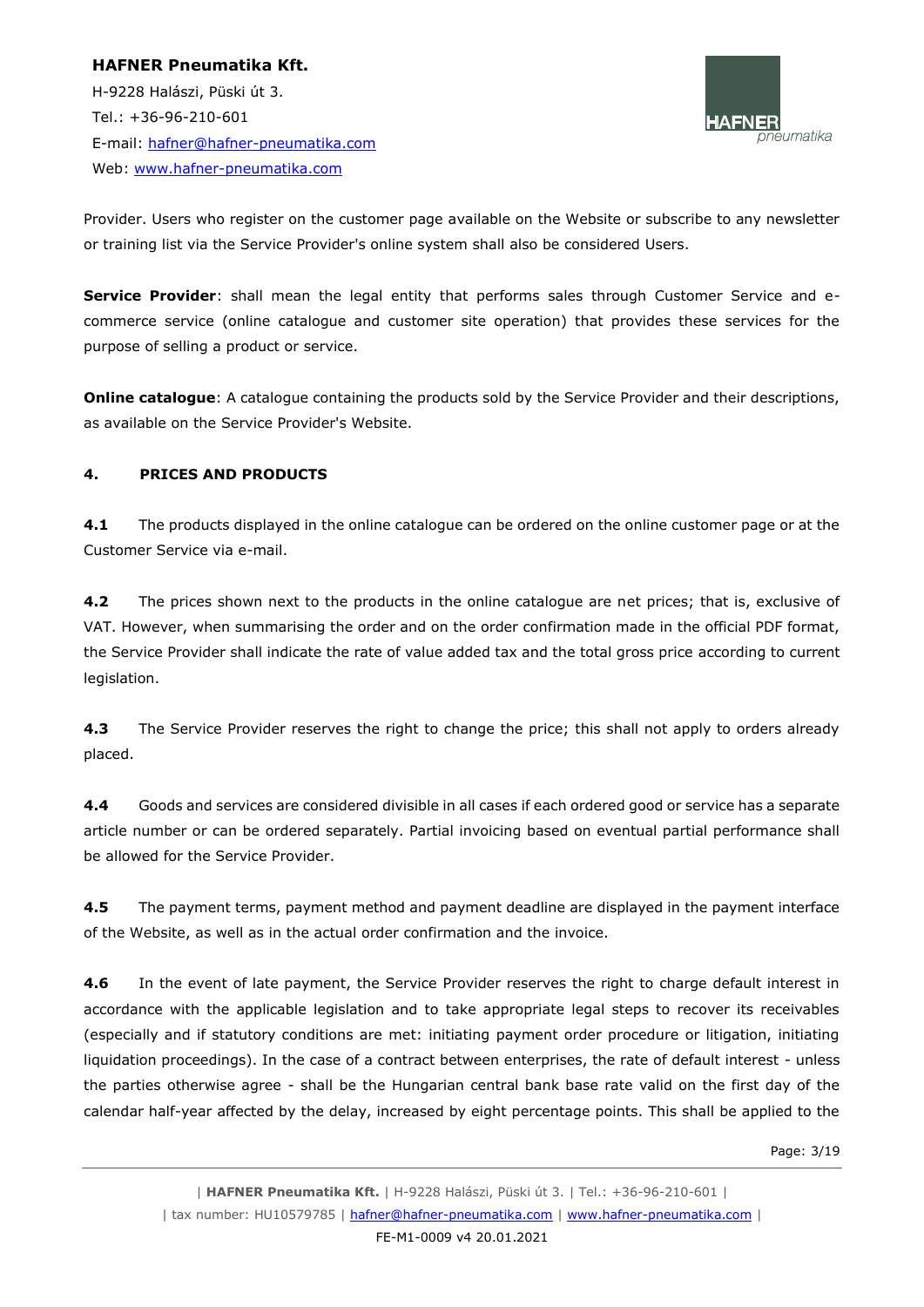H-9228 Halászi, Püski út 3. Tel.: +36-96-210-601 E-mail: [hafner@hafner-pneumatika.com](mailto:hafner@hafner-pneumatika.com) Web: [www.hafner-pneumatika.com](http://www.hafner-pneumatika.com/)



Provider. Users who register on the customer page available on the Website or subscribe to any newsletter or training list via the Service Provider's online system shall also be considered Users.

**Service Provider**: shall mean the legal entity that performs sales through Customer Service and ecommerce service (online catalogue and customer site operation) that provides these services for the purpose of selling a product or service.

**Online catalogue**: A catalogue containing the products sold by the Service Provider and their descriptions, as available on the Service Provider's Website.

# **4. PRICES AND PRODUCTS**

**4.1** The products displayed in the online catalogue can be ordered on the online customer page or at the Customer Service via e-mail.

**4.2** The prices shown next to the products in the online catalogue are net prices; that is, exclusive of VAT. However, when summarising the order and on the order confirmation made in the official PDF format, the Service Provider shall indicate the rate of value added tax and the total gross price according to current legislation.

**4.3** The Service Provider reserves the right to change the price; this shall not apply to orders already placed.

**4.4** Goods and services are considered divisible in all cases if each ordered good or service has a separate article number or can be ordered separately. Partial invoicing based on eventual partial performance shall be allowed for the Service Provider.

**4.5** The payment terms, payment method and payment deadline are displayed in the payment interface of the Website, as well as in the actual order confirmation and the invoice.

**4.6** In the event of late payment, the Service Provider reserves the right to charge default interest in accordance with the applicable legislation and to take appropriate legal steps to recover its receivables (especially and if statutory conditions are met: initiating payment order procedure or litigation, initiating liquidation proceedings). In the case of a contract between enterprises, the rate of default interest - unless the parties otherwise agree - shall be the Hungarian central bank base rate valid on the first day of the calendar half-year affected by the delay, increased by eight percentage points. This shall be applied to the

Page: 3/19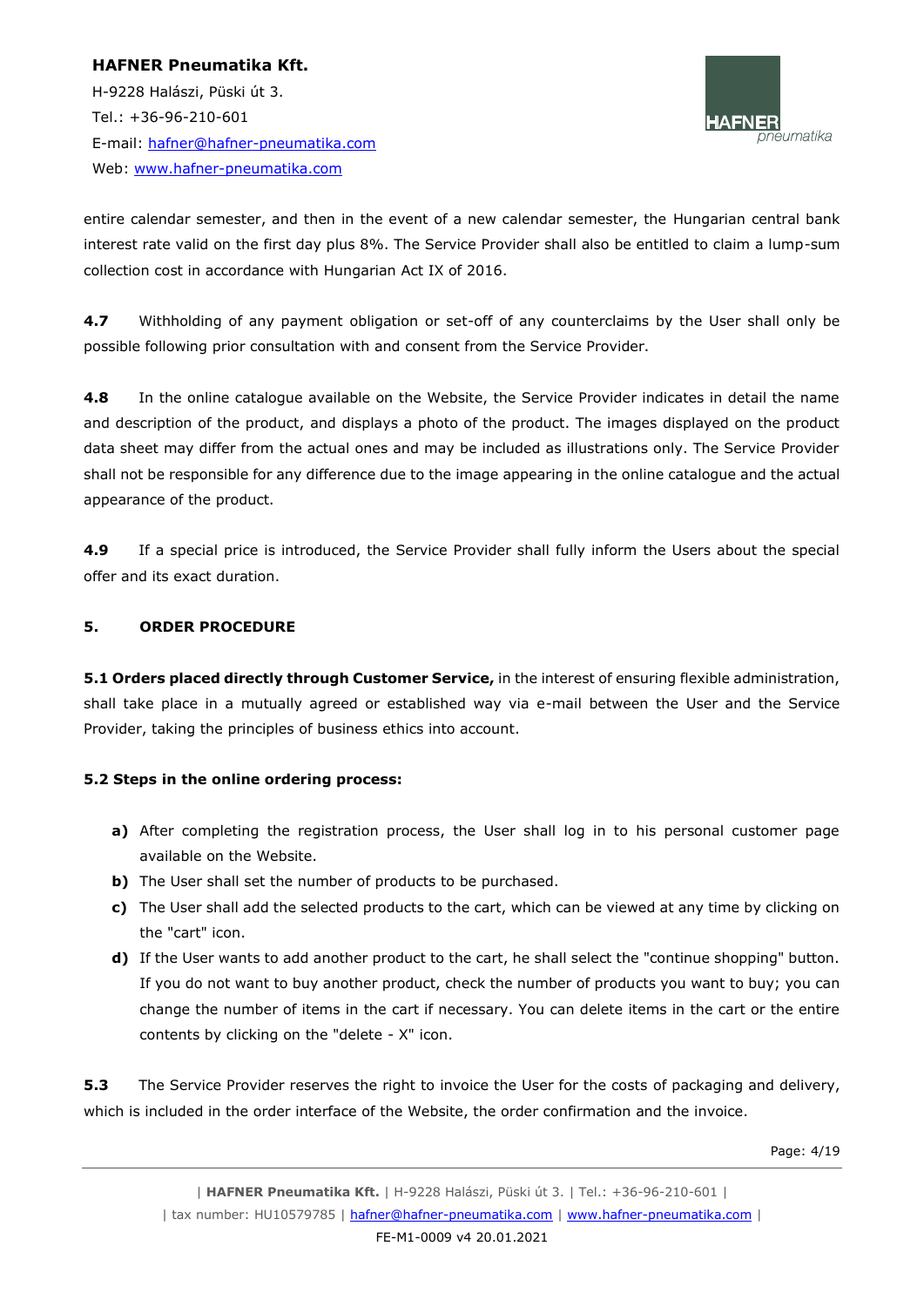H-9228 Halászi, Püski út 3. Tel.: +36-96-210-601 E-mail: [hafner@hafner-pneumatika.com](mailto:hafner@hafner-pneumatika.com) Web: [www.hafner-pneumatika.com](http://www.hafner-pneumatika.com/)



entire calendar semester, and then in the event of a new calendar semester, the Hungarian central bank interest rate valid on the first day plus 8%. The Service Provider shall also be entitled to claim a lump-sum collection cost in accordance with Hungarian Act IX of 2016.

**4.7** Withholding of any payment obligation or set-off of any counterclaims by the User shall only be possible following prior consultation with and consent from the Service Provider.

**4.8** In the online catalogue available on the Website, the Service Provider indicates in detail the name and description of the product, and displays a photo of the product. The images displayed on the product data sheet may differ from the actual ones and may be included as illustrations only. The Service Provider shall not be responsible for any difference due to the image appearing in the online catalogue and the actual appearance of the product.

**4.9** If a special price is introduced, the Service Provider shall fully inform the Users about the special offer and its exact duration.

# **5. ORDER PROCEDURE**

**5.1 Orders placed directly through Customer Service,** in the interest of ensuring flexible administration, shall take place in a mutually agreed or established way via e-mail between the User and the Service Provider, taking the principles of business ethics into account.

# **5.2 Steps in the online ordering process:**

- **a)** After completing the registration process, the User shall log in to his personal customer page available on the Website.
- **b)** The User shall set the number of products to be purchased.
- **c)** The User shall add the selected products to the cart, which can be viewed at any time by clicking on the "cart" icon.
- **d)** If the User wants to add another product to the cart, he shall select the "continue shopping" button. If you do not want to buy another product, check the number of products you want to buy; you can change the number of items in the cart if necessary. You can delete items in the cart or the entire contents by clicking on the "delete - X" icon.

**5.3** The Service Provider reserves the right to invoice the User for the costs of packaging and delivery, which is included in the order interface of the Website, the order confirmation and the invoice.

Page: 4/19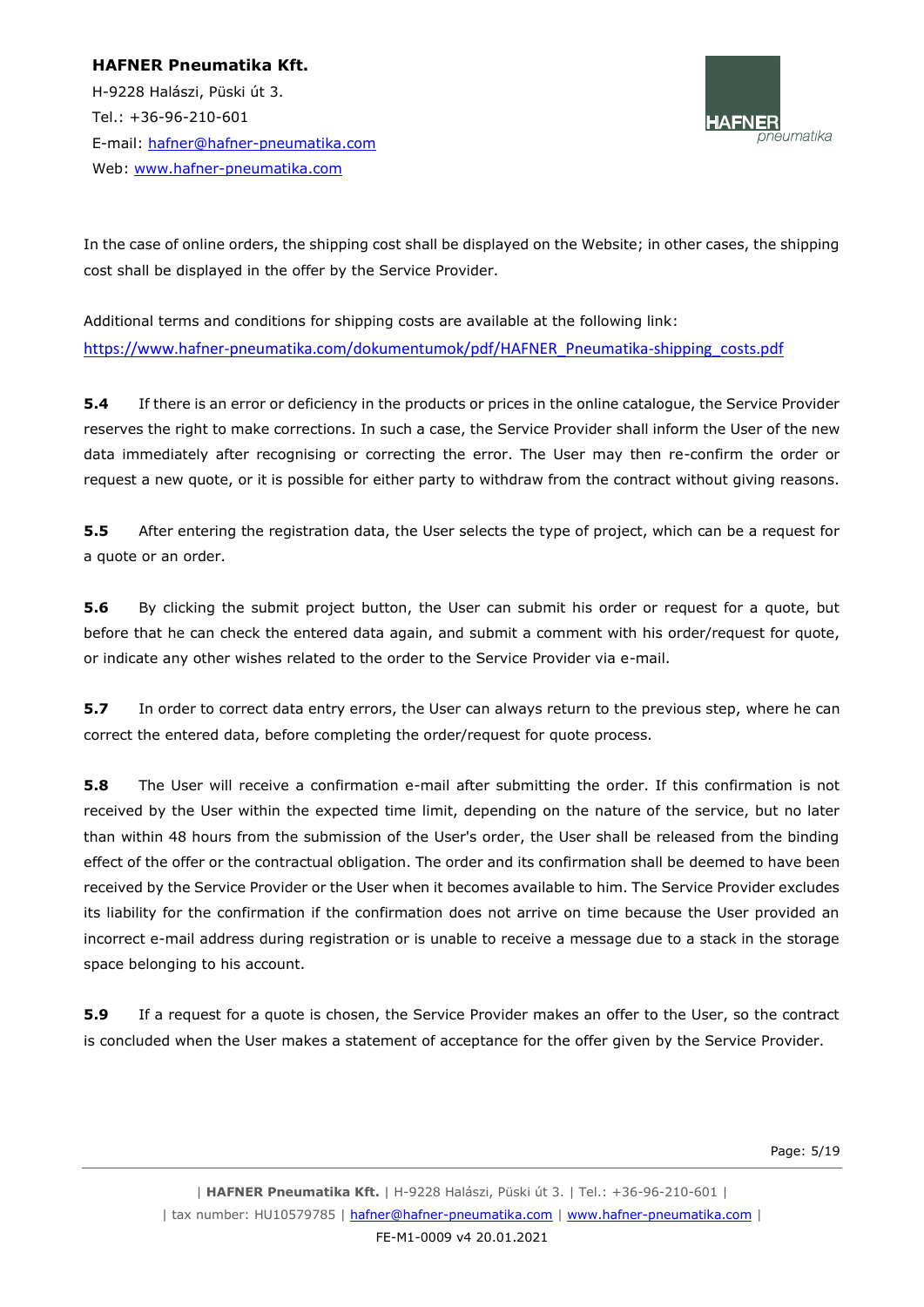H-9228 Halászi, Püski út 3. Tel.: +36-96-210-601 E-mail: [hafner@hafner-pneumatika.com](mailto:hafner@hafner-pneumatika.com) Web: [www.hafner-pneumatika.com](http://www.hafner-pneumatika.com/)



In the case of online orders, the shipping cost shall be displayed on the Website; in other cases, the shipping cost shall be displayed in the offer by the Service Provider.

Additional terms and conditions for shipping costs are available at the following link: [https://www.hafner-pneumatika.com/dokumentumok/pdf/HAFNER\\_Pneumatika-shipping\\_costs.pdf](https://www.hafner-pneumatika.com/dokumentumok/pdf/HAFNER_Pneumatika-shipping_costs.pdf)

**5.4** If there is an error or deficiency in the products or prices in the online catalogue, the Service Provider reserves the right to make corrections. In such a case, the Service Provider shall inform the User of the new data immediately after recognising or correcting the error. The User may then re-confirm the order or request a new quote, or it is possible for either party to withdraw from the contract without giving reasons.

**5.5** After entering the registration data, the User selects the type of project, which can be a request for a quote or an order.

**5.6** By clicking the submit project button, the User can submit his order or request for a quote, but before that he can check the entered data again, and submit a comment with his order/request for quote, or indicate any other wishes related to the order to the Service Provider via e-mail.

**5.7** In order to correct data entry errors, the User can always return to the previous step, where he can correct the entered data, before completing the order/request for quote process.

**5.8** The User will receive a confirmation e-mail after submitting the order. If this confirmation is not received by the User within the expected time limit, depending on the nature of the service, but no later than within 48 hours from the submission of the User's order, the User shall be released from the binding effect of the offer or the contractual obligation. The order and its confirmation shall be deemed to have been received by the Service Provider or the User when it becomes available to him. The Service Provider excludes its liability for the confirmation if the confirmation does not arrive on time because the User provided an incorrect e-mail address during registration or is unable to receive a message due to a stack in the storage space belonging to his account.

**5.9** If a request for a quote is chosen, the Service Provider makes an offer to the User, so the contract is concluded when the User makes a statement of acceptance for the offer given by the Service Provider.

Page: 5/19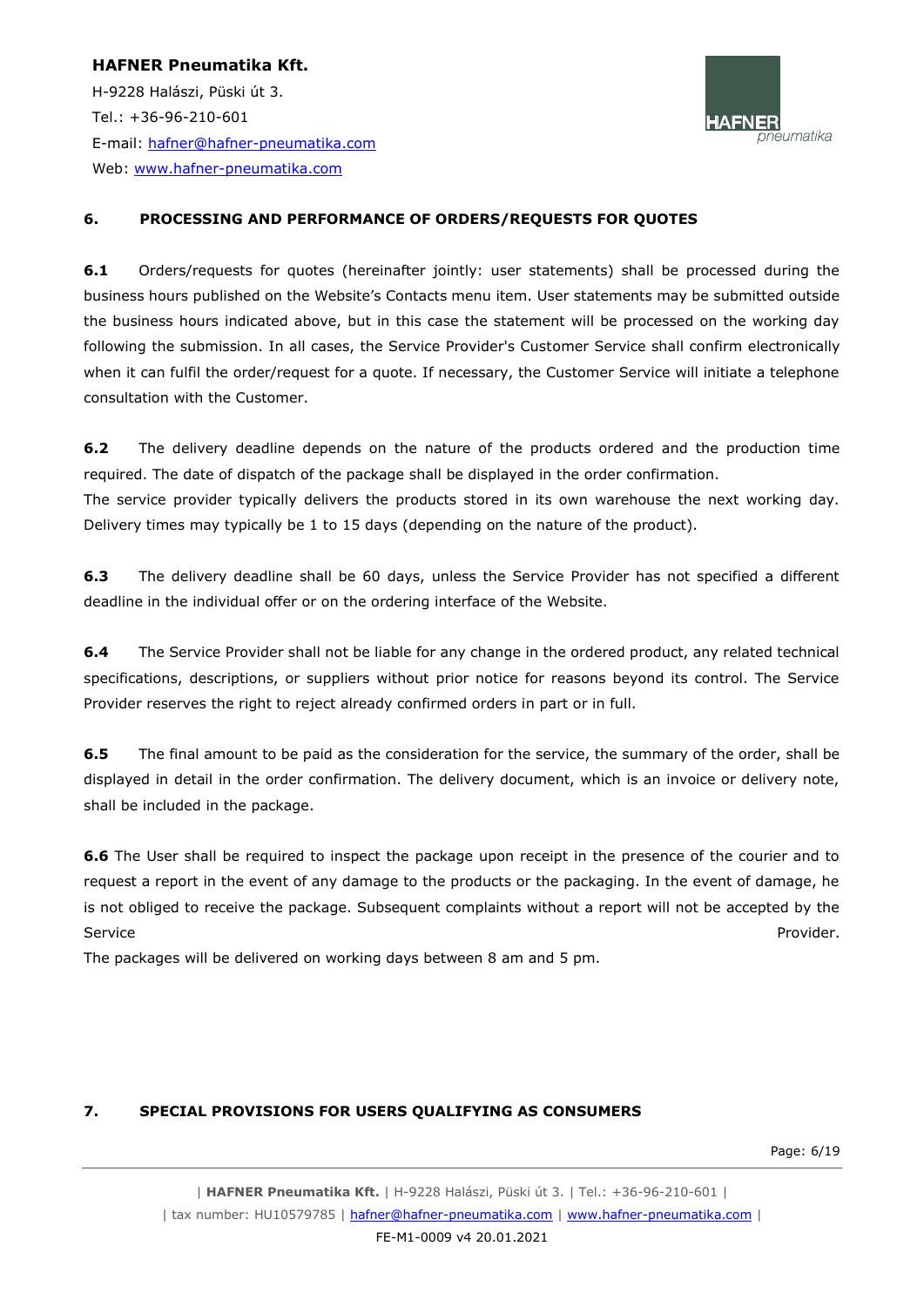**HAFNER Pneumatika Kft.** H-9228 Halászi, Püski út 3. Tel.: +36-96-210-601 E-mail: [hafner@hafner-pneumatika.com](mailto:hafner@hafner-pneumatika.com) Web: [www.hafner-pneumatika.com](http://www.hafner-pneumatika.com/)



#### **6. PROCESSING AND PERFORMANCE OF ORDERS/REQUESTS FOR QUOTES**

**6.1** Orders/requests for quotes (hereinafter jointly: user statements) shall be processed during the business hours published on the Website's Contacts menu item. User statements may be submitted outside the business hours indicated above, but in this case the statement will be processed on the working day following the submission. In all cases, the Service Provider's Customer Service shall confirm electronically when it can fulfil the order/request for a quote. If necessary, the Customer Service will initiate a telephone consultation with the Customer.

**6.2** The delivery deadline depends on the nature of the products ordered and the production time required. The date of dispatch of the package shall be displayed in the order confirmation. The service provider typically delivers the products stored in its own warehouse the next working day. Delivery times may typically be 1 to 15 days (depending on the nature of the product).

**6.3** The delivery deadline shall be 60 days, unless the Service Provider has not specified a different deadline in the individual offer or on the ordering interface of the Website.

**6.4** The Service Provider shall not be liable for any change in the ordered product, any related technical specifications, descriptions, or suppliers without prior notice for reasons beyond its control. The Service Provider reserves the right to reject already confirmed orders in part or in full.

**6.5** The final amount to be paid as the consideration for the service, the summary of the order, shall be displayed in detail in the order confirmation. The delivery document, which is an invoice or delivery note, shall be included in the package.

**6.6** The User shall be required to inspect the package upon receipt in the presence of the courier and to request a report in the event of any damage to the products or the packaging. In the event of damage, he is not obliged to receive the package. Subsequent complaints without a report will not be accepted by the Service Provider. The extension of the extension of the extension of the extension of the extension of the extension of the extension of the extension of the extension of the extension of the extension of the extension of

The packages will be delivered on working days between 8 am and 5 pm.

#### **7. SPECIAL PROVISIONS FOR USERS QUALIFYING AS CONSUMERS**

Page: 6/19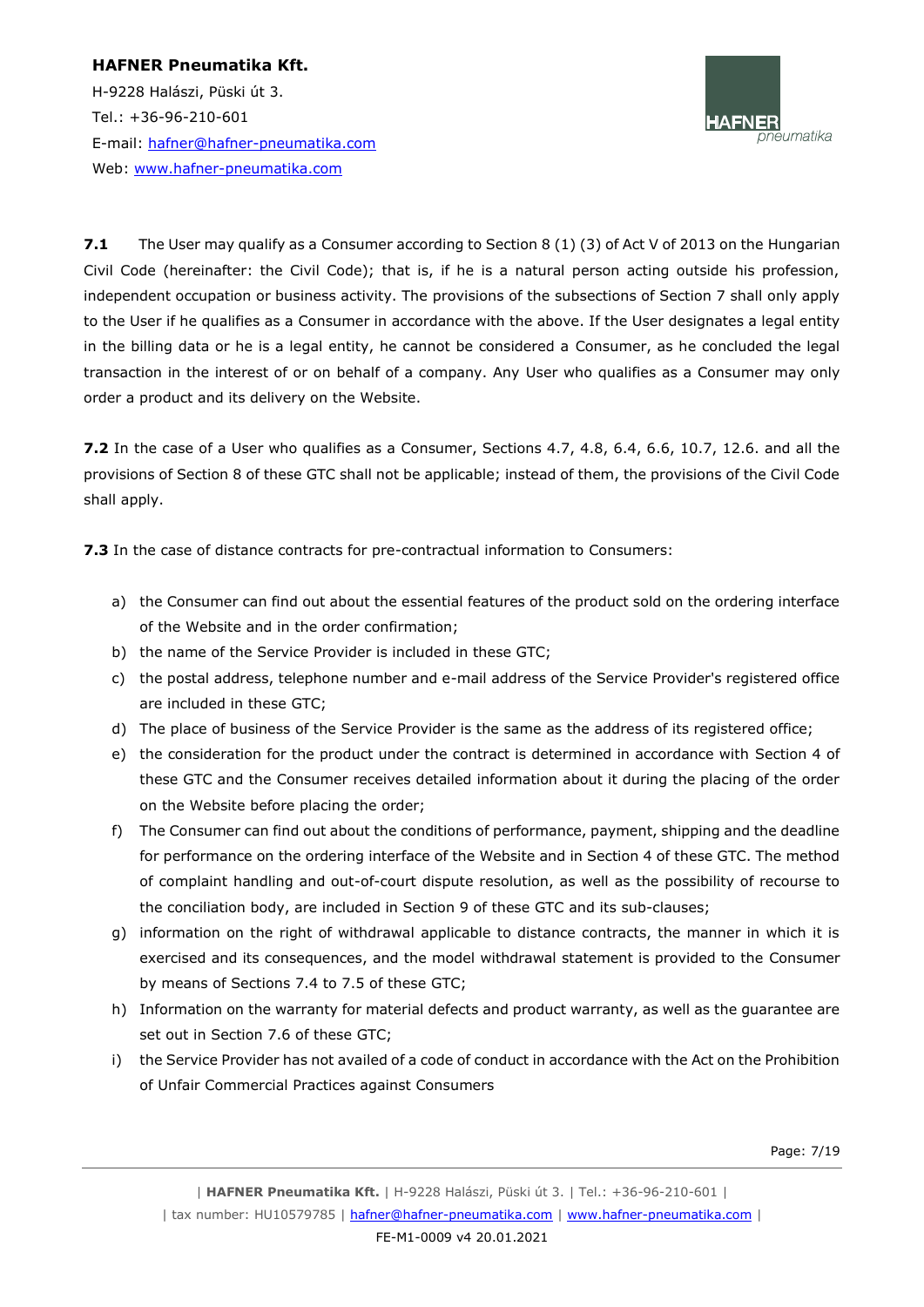H-9228 Halászi, Püski út 3. Tel.: +36-96-210-601 E-mail: [hafner@hafner-pneumatika.com](mailto:hafner@hafner-pneumatika.com) Web: [www.hafner-pneumatika.com](http://www.hafner-pneumatika.com/)



**7.1** The User may qualify as a Consumer according to Section 8 (1) (3) of Act V of 2013 on the Hungarian Civil Code (hereinafter: the Civil Code); that is, if he is a natural person acting outside his profession, independent occupation or business activity. The provisions of the subsections of Section 7 shall only apply to the User if he qualifies as a Consumer in accordance with the above. If the User designates a legal entity in the billing data or he is a legal entity, he cannot be considered a Consumer, as he concluded the legal transaction in the interest of or on behalf of a company. Any User who qualifies as a Consumer may only order a product and its delivery on the Website.

**7.2** In the case of a User who qualifies as a Consumer, Sections 4.7, 4.8, 6.4, 6.6, 10.7, 12.6. and all the provisions of Section 8 of these GTC shall not be applicable; instead of them, the provisions of the Civil Code shall apply.

**7.3** In the case of distance contracts for pre-contractual information to Consumers:

- a) the Consumer can find out about the essential features of the product sold on the ordering interface of the Website and in the order confirmation;
- b) the name of the Service Provider is included in these GTC;
- c) the postal address, telephone number and e-mail address of the Service Provider's registered office are included in these GTC;
- d) The place of business of the Service Provider is the same as the address of its registered office;
- e) the consideration for the product under the contract is determined in accordance with Section 4 of these GTC and the Consumer receives detailed information about it during the placing of the order on the Website before placing the order;
- f) The Consumer can find out about the conditions of performance, payment, shipping and the deadline for performance on the ordering interface of the Website and in Section 4 of these GTC. The method of complaint handling and out-of-court dispute resolution, as well as the possibility of recourse to the conciliation body, are included in Section 9 of these GTC and its sub-clauses;
- g) information on the right of withdrawal applicable to distance contracts, the manner in which it is exercised and its consequences, and the model withdrawal statement is provided to the Consumer by means of Sections 7.4 to 7.5 of these GTC;
- h) Information on the warranty for material defects and product warranty, as well as the guarantee are set out in Section 7.6 of these GTC;
- i) the Service Provider has not availed of a code of conduct in accordance with the Act on the Prohibition of Unfair Commercial Practices against Consumers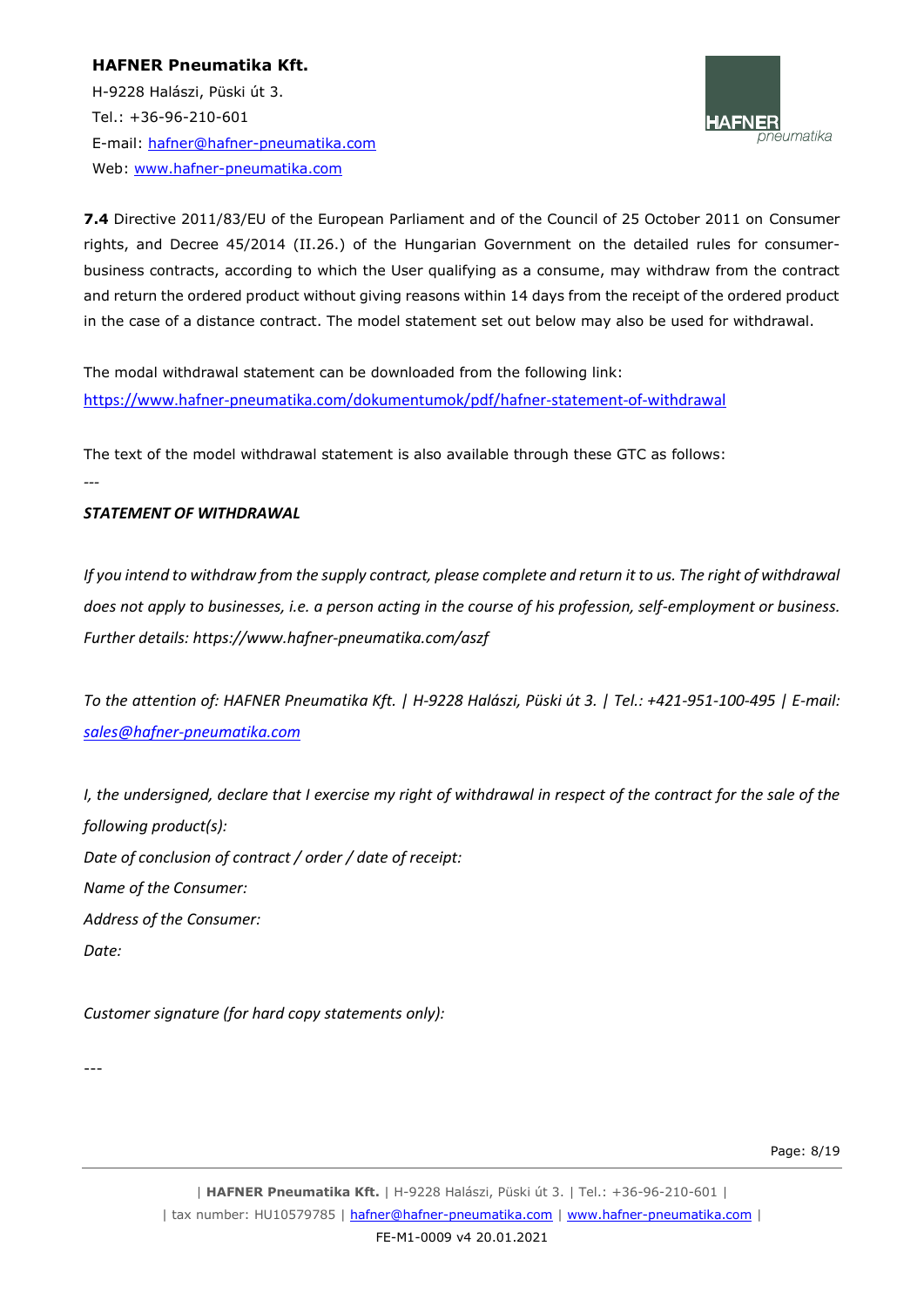H-9228 Halászi, Püski út 3. Tel.: +36-96-210-601 E-mail: [hafner@hafner-pneumatika.com](mailto:hafner@hafner-pneumatika.com) Web: [www.hafner-pneumatika.com](http://www.hafner-pneumatika.com/)



**7.4** Directive 2011/83/EU of the European Parliament and of the Council of 25 October 2011 on Consumer rights, and Decree 45/2014 (II.26.) of the Hungarian Government on the detailed rules for consumerbusiness contracts, according to which the User qualifying as a consume, may withdraw from the contract and return the ordered product without giving reasons within 14 days from the receipt of the ordered product in the case of a distance contract. The model statement set out below may also be used for withdrawal.

The modal withdrawal statement can be downloaded from the following link: <https://www.hafner-pneumatika.com/dokumentumok/pdf/hafner-statement-of-withdrawal>

The text of the model withdrawal statement is also available through these GTC as follows:

*---*

# *STATEMENT OF WITHDRAWAL*

*If you intend to withdraw from the supply contract, please complete and return it to us. The right of withdrawal does not apply to businesses, i.e. a person acting in the course of his profession, self-employment or business. Further details: https://www.hafner-pneumatika.com/aszf* 

*To the attention of: HAFNER Pneumatika Kft. | H-9228 Halászi, Püski út 3. | Tel.: +421-951-100-495 | E-mail: [sales@hafner-pneumatika.com](mailto:sales@hafner-pneumatika.com)*

*I*, the undersigned, declare that I exercise my right of withdrawal in respect of the contract for the sale of the *following product(s): Date of conclusion of contract / order / date of receipt: Name of the Consumer: Address of the Consumer: Date:* 

*Customer signature (for hard copy statements only):*

---

Page: 8/19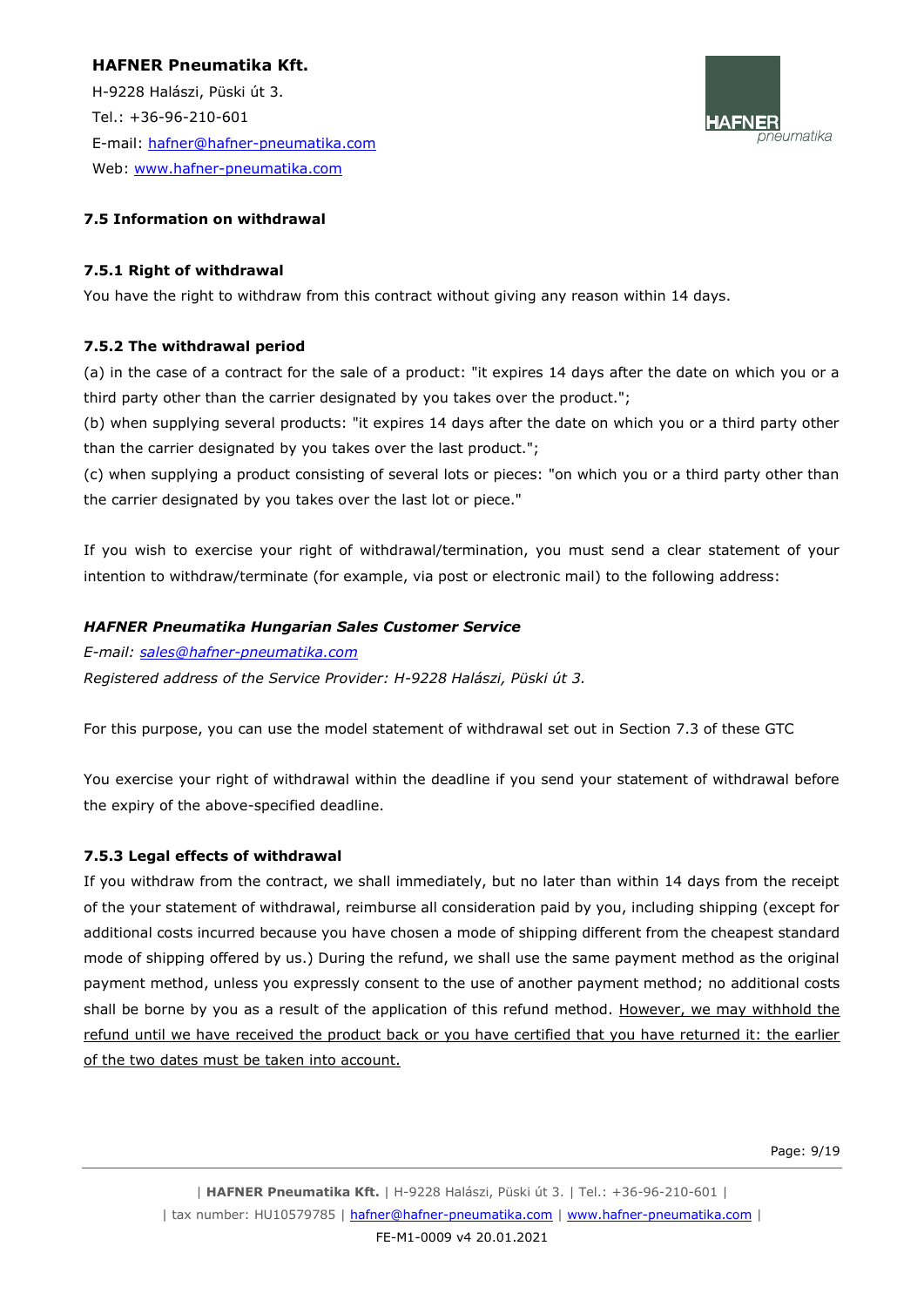H-9228 Halászi, Püski út 3. Tel.: +36-96-210-601 E-mail: [hafner@hafner-pneumatika.com](mailto:hafner@hafner-pneumatika.com) Web: [www.hafner-pneumatika.com](http://www.hafner-pneumatika.com/)



#### **7.5 Information on withdrawal**

#### **7.5.1 Right of withdrawal**

You have the right to withdraw from this contract without giving any reason within 14 days.

#### **7.5.2 The withdrawal period**

(a) in the case of a contract for the sale of a product: "it expires 14 days after the date on which you or a third party other than the carrier designated by you takes over the product.";

(b) when supplying several products: "it expires 14 days after the date on which you or a third party other than the carrier designated by you takes over the last product.";

(c) when supplying a product consisting of several lots or pieces: "on which you or a third party other than the carrier designated by you takes over the last lot or piece."

If you wish to exercise your right of withdrawal/termination, you must send a clear statement of your intention to withdraw/terminate (for example, via post or electronic mail) to the following address:

#### *HAFNER Pneumatika Hungarian Sales Customer Service*

*E-mail: [sales@hafner-pneumatika.com](mailto:sales@hafner-pneumatika.com)*

*Registered address of the Service Provider: H-9228 Halászi, Püski út 3.*

For this purpose, you can use the model statement of withdrawal set out in Section 7.3 of these GTC

You exercise your right of withdrawal within the deadline if you send your statement of withdrawal before the expiry of the above-specified deadline.

#### **7.5.3 Legal effects of withdrawal**

If you withdraw from the contract, we shall immediately, but no later than within 14 days from the receipt of the your statement of withdrawal, reimburse all consideration paid by you, including shipping (except for additional costs incurred because you have chosen a mode of shipping different from the cheapest standard mode of shipping offered by us.) During the refund, we shall use the same payment method as the original payment method, unless you expressly consent to the use of another payment method; no additional costs shall be borne by you as a result of the application of this refund method. However, we may withhold the refund until we have received the product back or you have certified that you have returned it: the earlier of the two dates must be taken into account.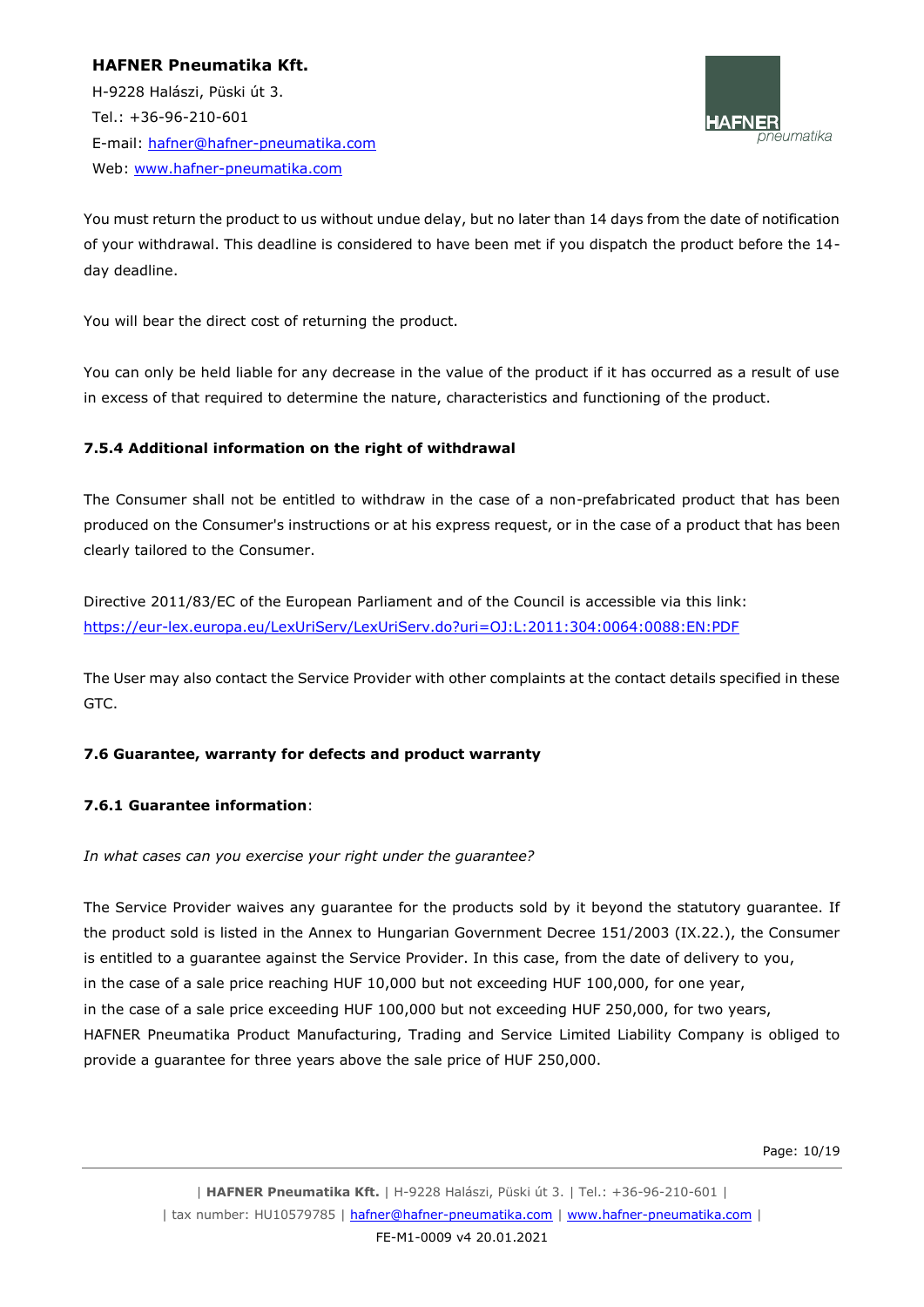H-9228 Halászi, Püski út 3. Tel.: +36-96-210-601 E-mail: [hafner@hafner-pneumatika.com](mailto:hafner@hafner-pneumatika.com) Web: [www.hafner-pneumatika.com](http://www.hafner-pneumatika.com/)



You must return the product to us without undue delay, but no later than 14 days from the date of notification of your withdrawal. This deadline is considered to have been met if you dispatch the product before the 14 day deadline.

You will bear the direct cost of returning the product.

You can only be held liable for any decrease in the value of the product if it has occurred as a result of use in excess of that required to determine the nature, characteristics and functioning of the product.

# **7.5.4 Additional information on the right of withdrawal**

The Consumer shall not be entitled to withdraw in the case of a non-prefabricated product that has been produced on the Consumer's instructions or at his express request, or in the case of a product that has been clearly tailored to the Consumer.

Directive 2011/83/EC of the European Parliament and of the Council is accessible via this link: [https://eur-lex.europa.eu/LexUriServ/LexUriServ.do?uri=OJ:L:2011:304:0064:0088:EN:PDF](http://eur-lex.europa.eu/LexUriServ/LexUriServ.do?uri=OJ:L:2011:304:0064:0088:EN:PDF)

The User may also contact the Service Provider with other complaints at the contact details specified in these GTC.

# **7.6 Guarantee, warranty for defects and product warranty**

#### **7.6.1 Guarantee information**:

*In what cases can you exercise your right under the guarantee?*

The Service Provider waives any guarantee for the products sold by it beyond the statutory guarantee. If the product sold is listed in the Annex to Hungarian Government Decree 151/2003 (IX.22.), the Consumer is entitled to a guarantee against the Service Provider. In this case, from the date of delivery to you, in the case of a sale price reaching HUF 10,000 but not exceeding HUF 100,000, for one year, in the case of a sale price exceeding HUF 100,000 but not exceeding HUF 250,000, for two years, HAFNER Pneumatika Product Manufacturing, Trading and Service Limited Liability Company is obliged to provide a guarantee for three years above the sale price of HUF 250,000.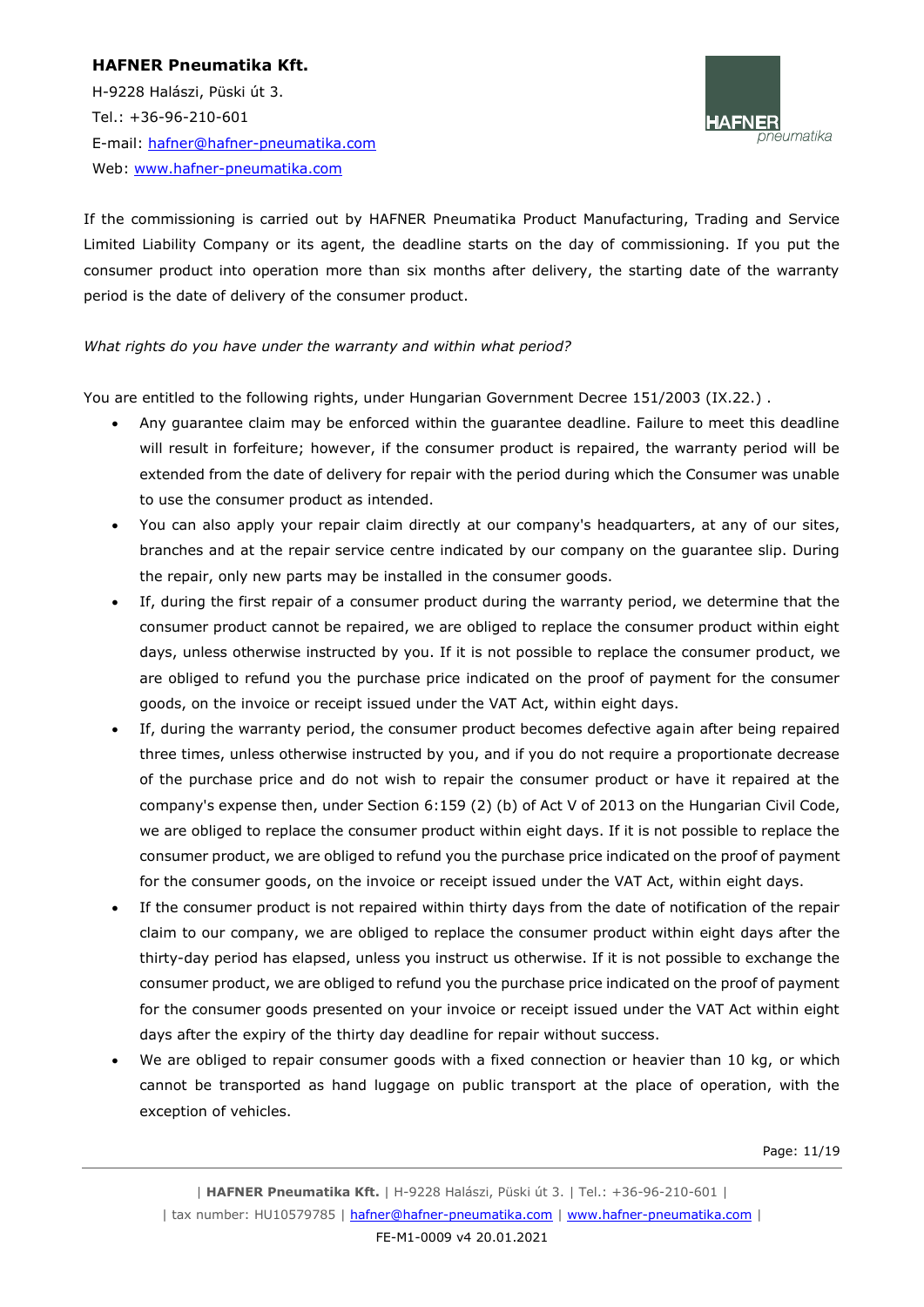H-9228 Halászi, Püski út 3. Tel.: +36-96-210-601 E-mail: [hafner@hafner-pneumatika.com](mailto:hafner@hafner-pneumatika.com) Web: [www.hafner-pneumatika.com](http://www.hafner-pneumatika.com/)



If the commissioning is carried out by HAFNER Pneumatika Product Manufacturing, Trading and Service Limited Liability Company or its agent, the deadline starts on the day of commissioning. If you put the consumer product into operation more than six months after delivery, the starting date of the warranty period is the date of delivery of the consumer product.

#### *What rights do you have under the warranty and within what period?*

You are entitled to the following rights, under Hungarian Government Decree 151/2003 (IX.22.).

- Any guarantee claim may be enforced within the guarantee deadline. Failure to meet this deadline will result in forfeiture; however, if the consumer product is repaired, the warranty period will be extended from the date of delivery for repair with the period during which the Consumer was unable to use the consumer product as intended.
- You can also apply your repair claim directly at our company's headquarters, at any of our sites, branches and at the repair service centre indicated by our company on the guarantee slip. During the repair, only new parts may be installed in the consumer goods.
- If, during the first repair of a consumer product during the warranty period, we determine that the consumer product cannot be repaired, we are obliged to replace the consumer product within eight days, unless otherwise instructed by you. If it is not possible to replace the consumer product, we are obliged to refund you the purchase price indicated on the proof of payment for the consumer goods, on the invoice or receipt issued under the VAT Act, within eight days.
- If, during the warranty period, the consumer product becomes defective again after being repaired three times, unless otherwise instructed by you, and if you do not require a proportionate decrease of the purchase price and do not wish to repair the consumer product or have it repaired at the company's expense then, under Section 6:159 (2) (b) of Act V of 2013 on the Hungarian Civil Code, we are obliged to replace the consumer product within eight days. If it is not possible to replace the consumer product, we are obliged to refund you the purchase price indicated on the proof of payment for the consumer goods, on the invoice or receipt issued under the VAT Act, within eight days.
- If the consumer product is not repaired within thirty days from the date of notification of the repair claim to our company, we are obliged to replace the consumer product within eight days after the thirty-day period has elapsed, unless you instruct us otherwise. If it is not possible to exchange the consumer product, we are obliged to refund you the purchase price indicated on the proof of payment for the consumer goods presented on your invoice or receipt issued under the VAT Act within eight days after the expiry of the thirty day deadline for repair without success.
- We are obliged to repair consumer goods with a fixed connection or heavier than 10 kg, or which cannot be transported as hand luggage on public transport at the place of operation, with the exception of vehicles.

Page: 11/19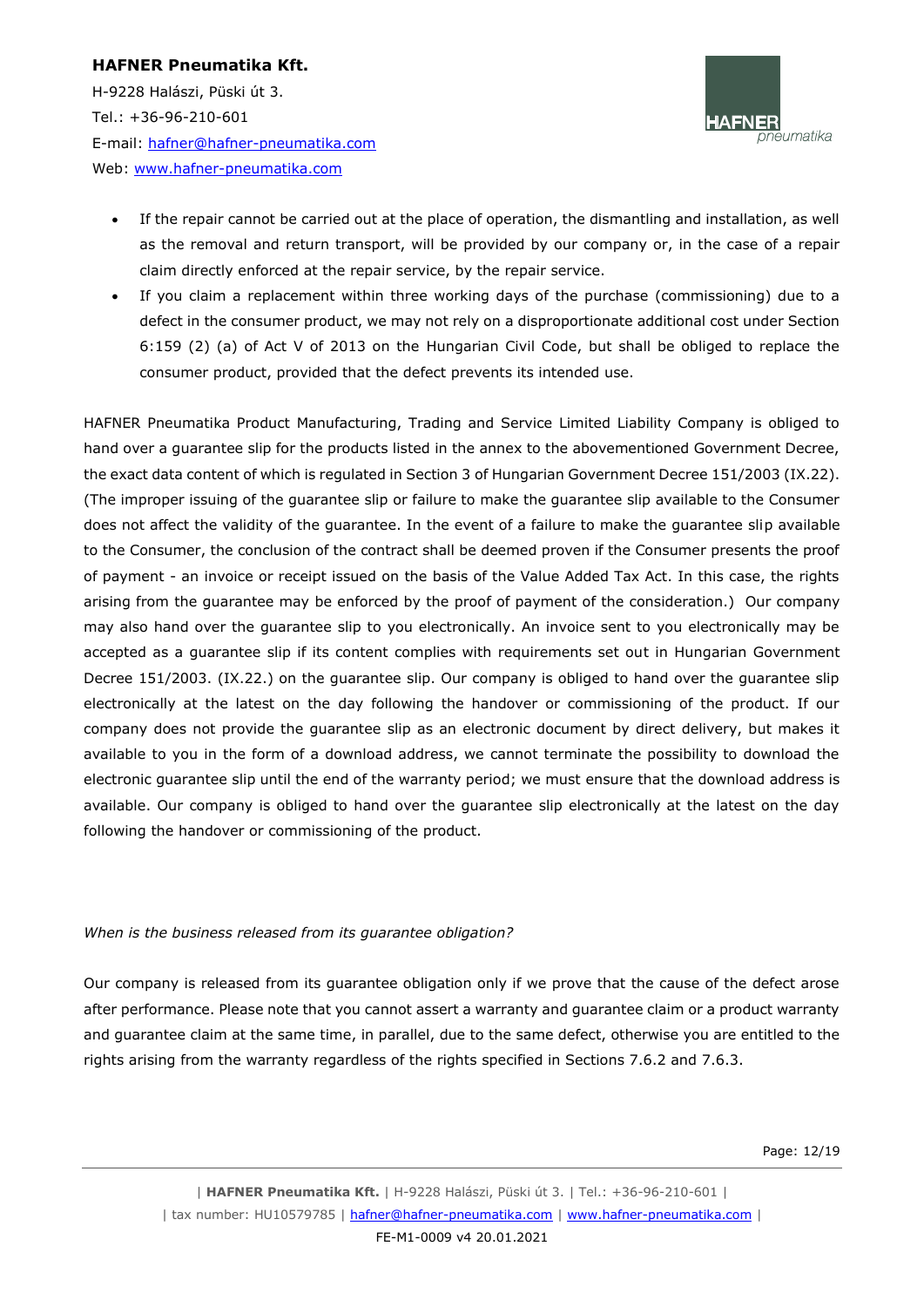H-9228 Halászi, Püski út 3. Tel.: +36-96-210-601 E-mail: [hafner@hafner-pneumatika.com](mailto:hafner@hafner-pneumatika.com) Web: [www.hafner-pneumatika.com](http://www.hafner-pneumatika.com/)



- If the repair cannot be carried out at the place of operation, the dismantling and installation, as well as the removal and return transport, will be provided by our company or, in the case of a repair claim directly enforced at the repair service, by the repair service.
- If you claim a replacement within three working days of the purchase (commissioning) due to a defect in the consumer product, we may not rely on a disproportionate additional cost under Section 6:159 (2) (a) of Act V of 2013 on the Hungarian Civil Code, but shall be obliged to replace the consumer product, provided that the defect prevents its intended use.

HAFNER Pneumatika Product Manufacturing, Trading and Service Limited Liability Company is obliged to hand over a guarantee slip for the products listed in the annex to the abovementioned Government Decree, the exact data content of which is regulated in Section 3 of Hungarian Government Decree 151/2003 (IX.22). (The improper issuing of the guarantee slip or failure to make the guarantee slip available to the Consumer does not affect the validity of the guarantee. In the event of a failure to make the guarantee slip available to the Consumer, the conclusion of the contract shall be deemed proven if the Consumer presents the proof of payment - an invoice or receipt issued on the basis of the Value Added Tax Act. In this case, the rights arising from the guarantee may be enforced by the proof of payment of the consideration.) Our company may also hand over the guarantee slip to you electronically. An invoice sent to you electronically may be accepted as a guarantee slip if its content complies with requirements set out in Hungarian Government Decree 151/2003. (IX.22.) on the guarantee slip. Our company is obliged to hand over the guarantee slip electronically at the latest on the day following the handover or commissioning of the product. If our company does not provide the guarantee slip as an electronic document by direct delivery, but makes it available to you in the form of a download address, we cannot terminate the possibility to download the electronic guarantee slip until the end of the warranty period; we must ensure that the download address is available. Our company is obliged to hand over the guarantee slip electronically at the latest on the day following the handover or commissioning of the product.

#### *When is the business released from its guarantee obligation?*

Our company is released from its guarantee obligation only if we prove that the cause of the defect arose after performance. Please note that you cannot assert a warranty and guarantee claim or a product warranty and guarantee claim at the same time, in parallel, due to the same defect, otherwise you are entitled to the rights arising from the warranty regardless of the rights specified in Sections 7.6.2 and 7.6.3.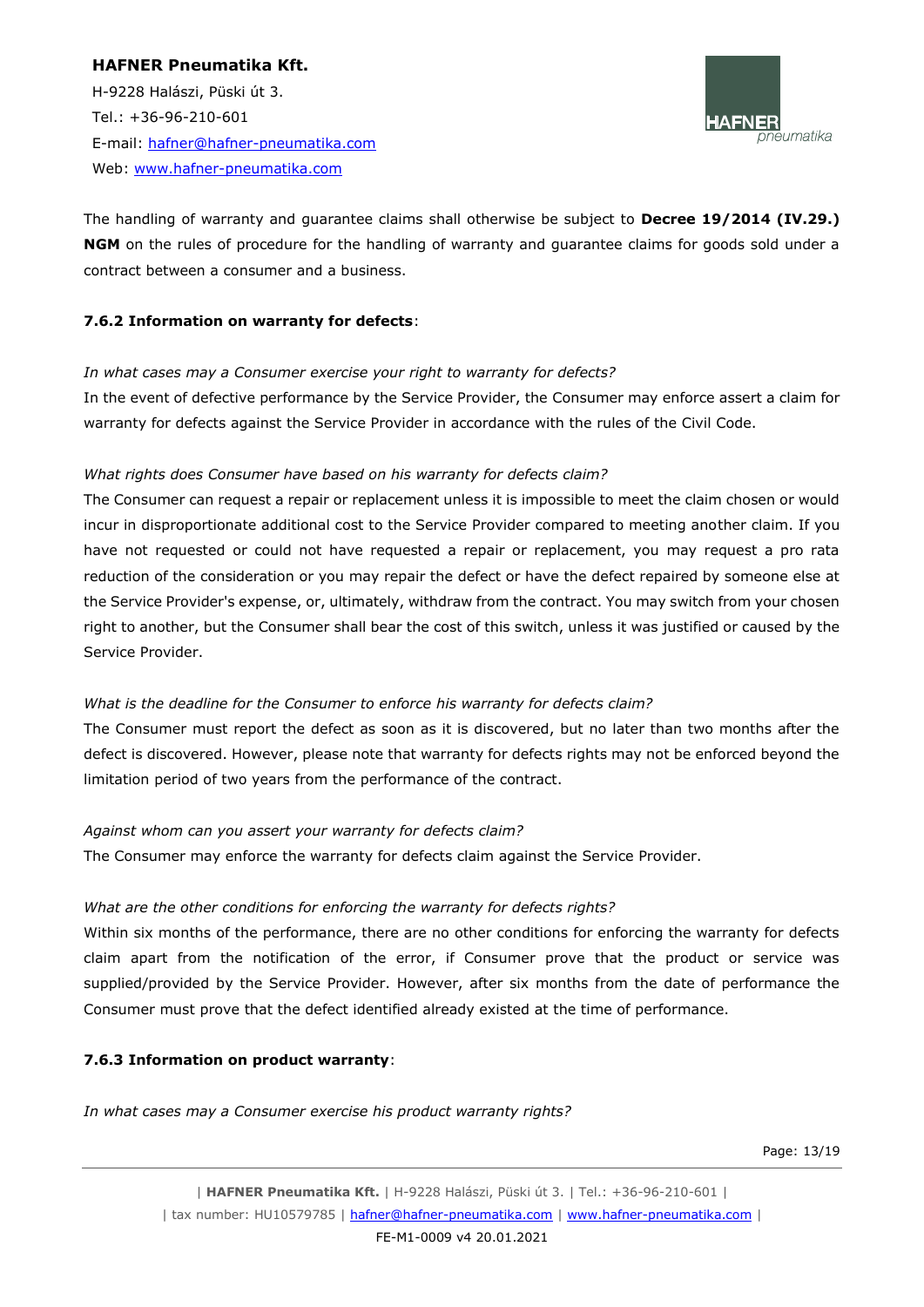H-9228 Halászi, Püski út 3. Tel.: +36-96-210-601 E-mail: [hafner@hafner-pneumatika.com](mailto:hafner@hafner-pneumatika.com) Web: [www.hafner-pneumatika.com](http://www.hafner-pneumatika.com/)



The handling of warranty and guarantee claims shall otherwise be subject to **Decree 19/2014 (IV.29.) NGM** on the rules of procedure for the handling of warranty and guarantee claims for goods sold under a contract between a consumer and a business.

#### **7.6.2 Information on warranty for defects**:

#### *In what cases may a Consumer exercise your right to warranty for defects?*

In the event of defective performance by the Service Provider, the Consumer may enforce assert a claim for warranty for defects against the Service Provider in accordance with the rules of the Civil Code.

#### *What rights does Consumer have based on his warranty for defects claim?*

The Consumer can request a repair or replacement unless it is impossible to meet the claim chosen or would incur in disproportionate additional cost to the Service Provider compared to meeting another claim. If you have not requested or could not have requested a repair or replacement, you may request a pro rata reduction of the consideration or you may repair the defect or have the defect repaired by someone else at the Service Provider's expense, or, ultimately, withdraw from the contract. You may switch from your chosen right to another, but the Consumer shall bear the cost of this switch, unless it was justified or caused by the Service Provider.

#### *What is the deadline for the Consumer to enforce his warranty for defects claim?*

The Consumer must report the defect as soon as it is discovered, but no later than two months after the defect is discovered. However, please note that warranty for defects rights may not be enforced beyond the limitation period of two years from the performance of the contract.

#### *Against whom can you assert your warranty for defects claim?*

The Consumer may enforce the warranty for defects claim against the Service Provider.

# *What are the other conditions for enforcing the warranty for defects rights?*

Within six months of the performance, there are no other conditions for enforcing the warranty for defects claim apart from the notification of the error, if Consumer prove that the product or service was supplied/provided by the Service Provider. However, after six months from the date of performance the Consumer must prove that the defect identified already existed at the time of performance.

# **7.6.3 Information on product warranty**:

*In what cases may a Consumer exercise his product warranty rights?* 

Page: 13/19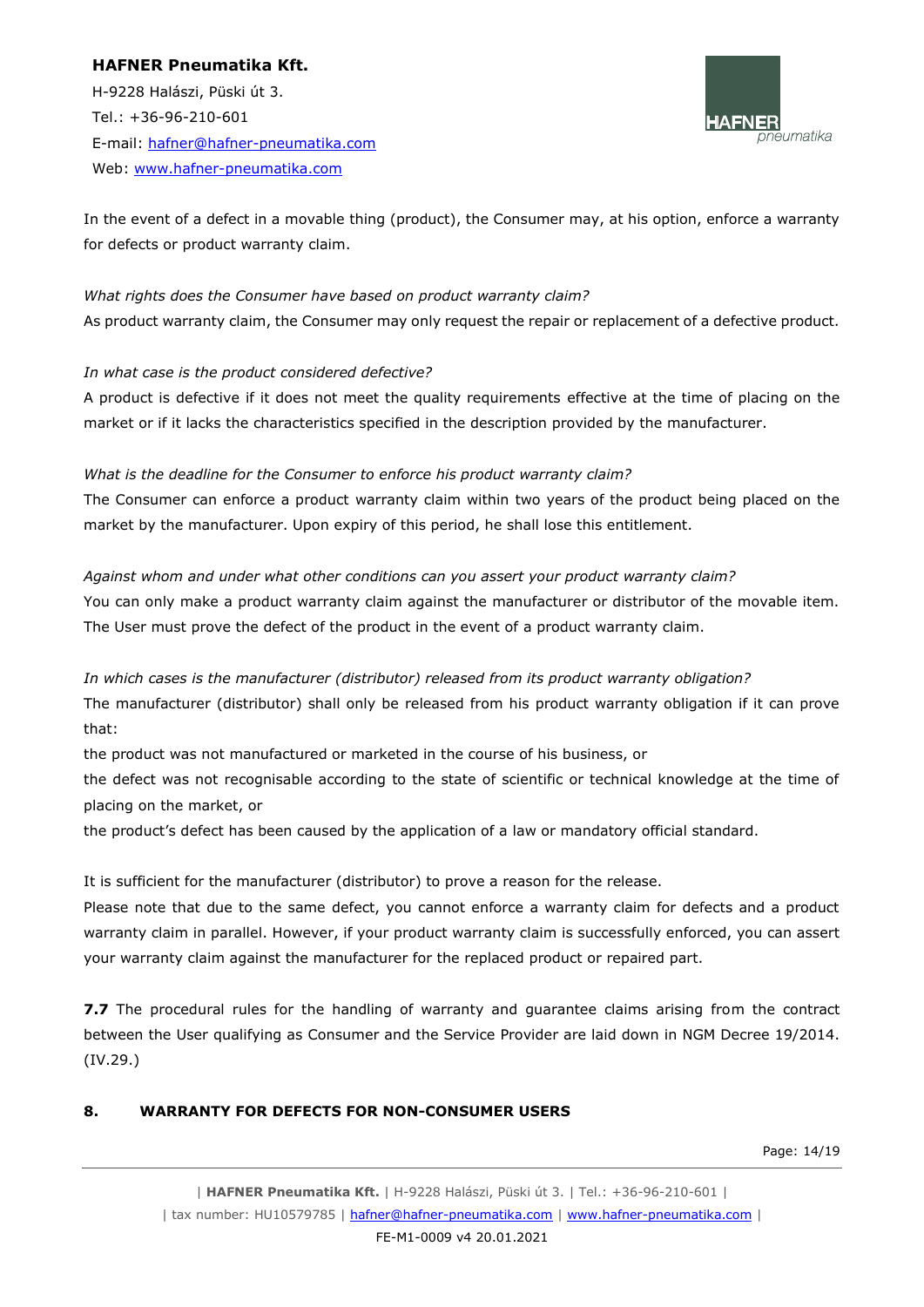H-9228 Halászi, Püski út 3. Tel.: +36-96-210-601 E-mail: [hafner@hafner-pneumatika.com](mailto:hafner@hafner-pneumatika.com) Web: [www.hafner-pneumatika.com](http://www.hafner-pneumatika.com/)



In the event of a defect in a movable thing (product), the Consumer may, at his option, enforce a warranty for defects or product warranty claim.

*What rights does the Consumer have based on product warranty claim?*  As product warranty claim, the Consumer may only request the repair or replacement of a defective product.

# *In what case is the product considered defective?*

A product is defective if it does not meet the quality requirements effective at the time of placing on the market or if it lacks the characteristics specified in the description provided by the manufacturer.

#### *What is the deadline for the Consumer to enforce his product warranty claim?*

The Consumer can enforce a product warranty claim within two years of the product being placed on the market by the manufacturer. Upon expiry of this period, he shall lose this entitlement.

*Against whom and under what other conditions can you assert your product warranty claim?*  You can only make a product warranty claim against the manufacturer or distributor of the movable item. The User must prove the defect of the product in the event of a product warranty claim.

# *In which cases is the manufacturer (distributor) released from its product warranty obligation?*

The manufacturer (distributor) shall only be released from his product warranty obligation if it can prove that:

the product was not manufactured or marketed in the course of his business, or

the defect was not recognisable according to the state of scientific or technical knowledge at the time of placing on the market, or

the product's defect has been caused by the application of a law or mandatory official standard.

It is sufficient for the manufacturer (distributor) to prove a reason for the release.

Please note that due to the same defect, you cannot enforce a warranty claim for defects and a product warranty claim in parallel. However, if your product warranty claim is successfully enforced, you can assert your warranty claim against the manufacturer for the replaced product or repaired part.

**7.7** The procedural rules for the handling of warranty and guarantee claims arising from the contract between the User qualifying as Consumer and the Service Provider are laid down in NGM Decree 19/2014. (IV.29.)

# **8. WARRANTY FOR DEFECTS FOR NON-CONSUMER USERS**

Page: 14/19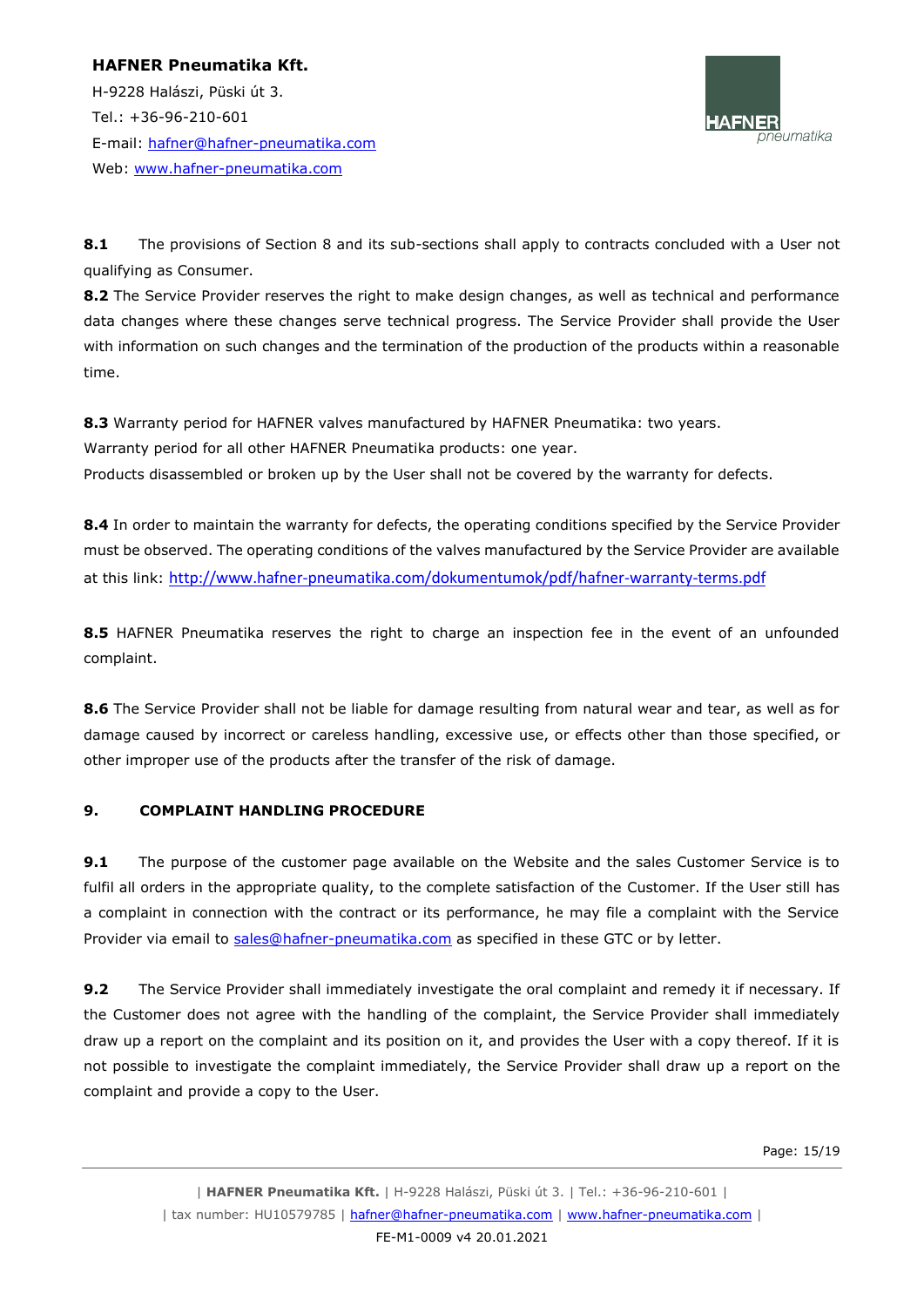H-9228 Halászi, Püski út 3. Tel.: +36-96-210-601 E-mail: [hafner@hafner-pneumatika.com](mailto:hafner@hafner-pneumatika.com) Web: [www.hafner-pneumatika.com](http://www.hafner-pneumatika.com/)



**8.1** The provisions of Section 8 and its sub-sections shall apply to contracts concluded with a User not qualifying as Consumer.

8.2 The Service Provider reserves the right to make design changes, as well as technical and performance data changes where these changes serve technical progress. The Service Provider shall provide the User with information on such changes and the termination of the production of the products within a reasonable time.

**8.3** Warranty period for HAFNER valves manufactured by HAFNER Pneumatika: two years. Warranty period for all other HAFNER Pneumatika products: one year. Products disassembled or broken up by the User shall not be covered by the warranty for defects.

**8.4** In order to maintain the warranty for defects, the operating conditions specified by the Service Provider must be observed. The operating conditions of the valves manufactured by the Service Provider are available at this link: <http://www.hafner-pneumatika.com/dokumentumok/pdf/hafner-warranty-terms.pdf>

**8.5** HAFNER Pneumatika reserves the right to charge an inspection fee in the event of an unfounded complaint.

**8.6** The Service Provider shall not be liable for damage resulting from natural wear and tear, as well as for damage caused by incorrect or careless handling, excessive use, or effects other than those specified, or other improper use of the products after the transfer of the risk of damage.

# **9. COMPLAINT HANDLING PROCEDURE**

**9.1** The purpose of the customer page available on the Website and the sales Customer Service is to fulfil all orders in the appropriate quality, to the complete satisfaction of the Customer. If the User still has a complaint in connection with the contract or its performance, he may file a complaint with the Service Provider via email to [sales@hafner-pneumatika.com](mailto:sales@hafner-pneumatika.com) as specified in these GTC or by letter.

**9.2** The Service Provider shall immediately investigate the oral complaint and remedy it if necessary. If the Customer does not agree with the handling of the complaint, the Service Provider shall immediately draw up a report on the complaint and its position on it, and provides the User with a copy thereof. If it is not possible to investigate the complaint immediately, the Service Provider shall draw up a report on the complaint and provide a copy to the User.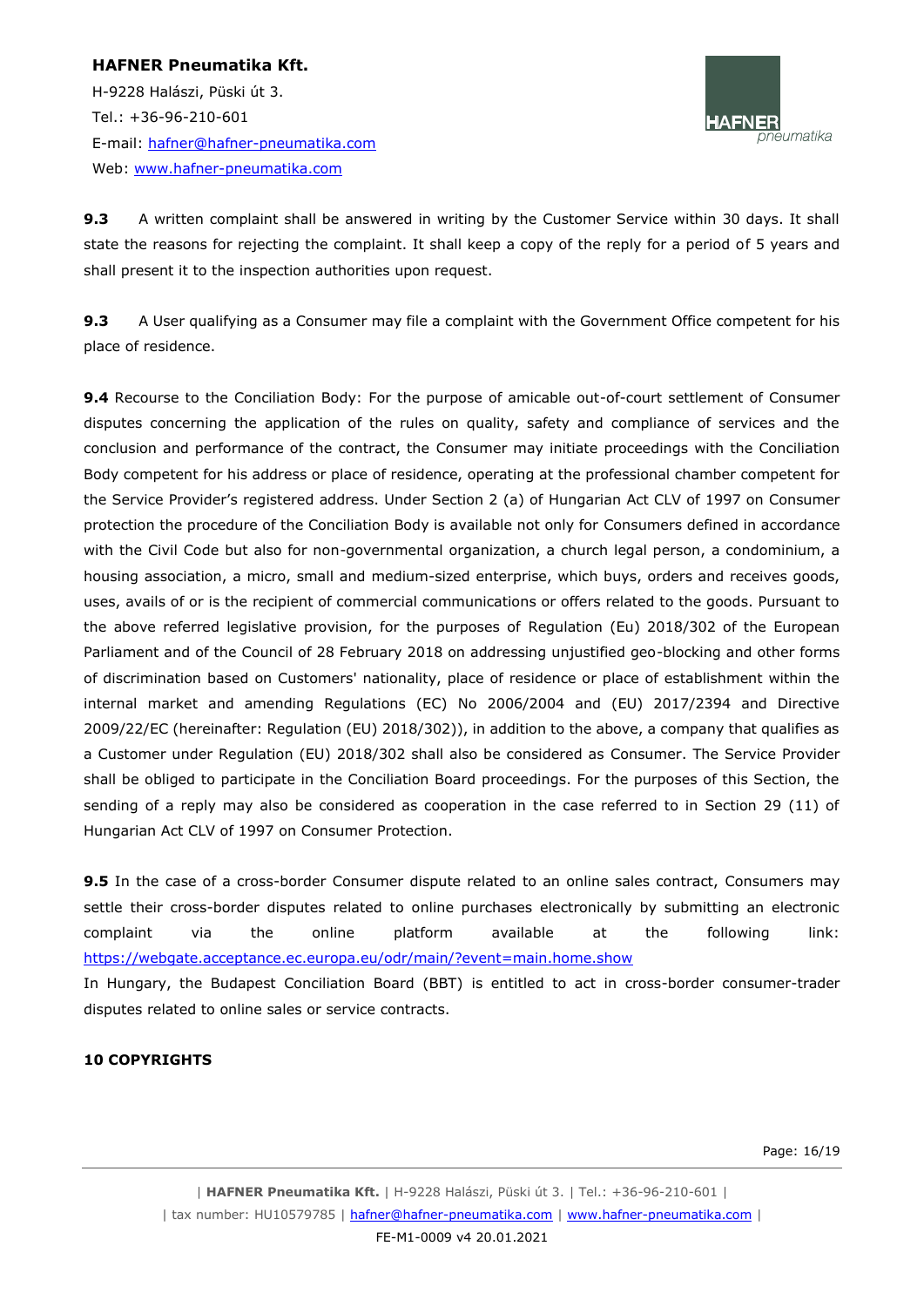# **HAFNER Pneumatika Kft.** H-9228 Halászi, Püski út 3. Tel.: +36-96-210-601 E-mail: [hafner@hafner-pneumatika.com](mailto:hafner@hafner-pneumatika.com) Web: [www.hafner-pneumatika.com](http://www.hafner-pneumatika.com/)



**9.3** A written complaint shall be answered in writing by the Customer Service within 30 days. It shall state the reasons for rejecting the complaint. It shall keep a copy of the reply for a period of 5 years and shall present it to the inspection authorities upon request.

**9.3** A User qualifying as a Consumer may file a complaint with the Government Office competent for his place of residence.

**9.4** Recourse to the Conciliation Body: For the purpose of amicable out-of-court settlement of Consumer disputes concerning the application of the rules on quality, safety and compliance of services and the conclusion and performance of the contract, the Consumer may initiate proceedings with the Conciliation Body competent for his address or place of residence, operating at the professional chamber competent for the Service Provider's registered address. Under Section 2 (a) of Hungarian Act CLV of 1997 on Consumer protection the procedure of the Conciliation Body is available not only for Consumers defined in accordance with the Civil Code but also for non-governmental organization, a church legal person, a condominium, a housing association, a micro, small and medium-sized enterprise, which buys, orders and receives goods, uses, avails of or is the recipient of commercial communications or offers related to the goods. Pursuant to the above referred legislative provision, for the purposes of Regulation (Eu) 2018/302 of the European Parliament and of the Council of 28 February 2018 on addressing unjustified geo-blocking and other forms of discrimination based on Customers' nationality, place of residence or place of establishment within the internal market and amending Regulations (EC) No 2006/2004 and (EU) 2017/2394 and Directive 2009/22/EC (hereinafter: Regulation (EU) 2018/302)), in addition to the above, a company that qualifies as a Customer under Regulation (EU) 2018/302 shall also be considered as Consumer. The Service Provider shall be obliged to participate in the Conciliation Board proceedings. For the purposes of this Section, the sending of a reply may also be considered as cooperation in the case referred to in Section 29 (11) of Hungarian Act CLV of 1997 on Consumer Protection.

**9.5** In the case of a cross-border Consumer dispute related to an online sales contract, Consumers may settle their cross-border disputes related to online purchases electronically by submitting an electronic complaint via the online platform available at the following link: <https://webgate.acceptance.ec.europa.eu/odr/main/?event=main.home.show>

In Hungary, the Budapest Conciliation Board (BBT) is entitled to act in cross-border consumer-trader disputes related to online sales or service contracts.

# **10 COPYRIGHTS**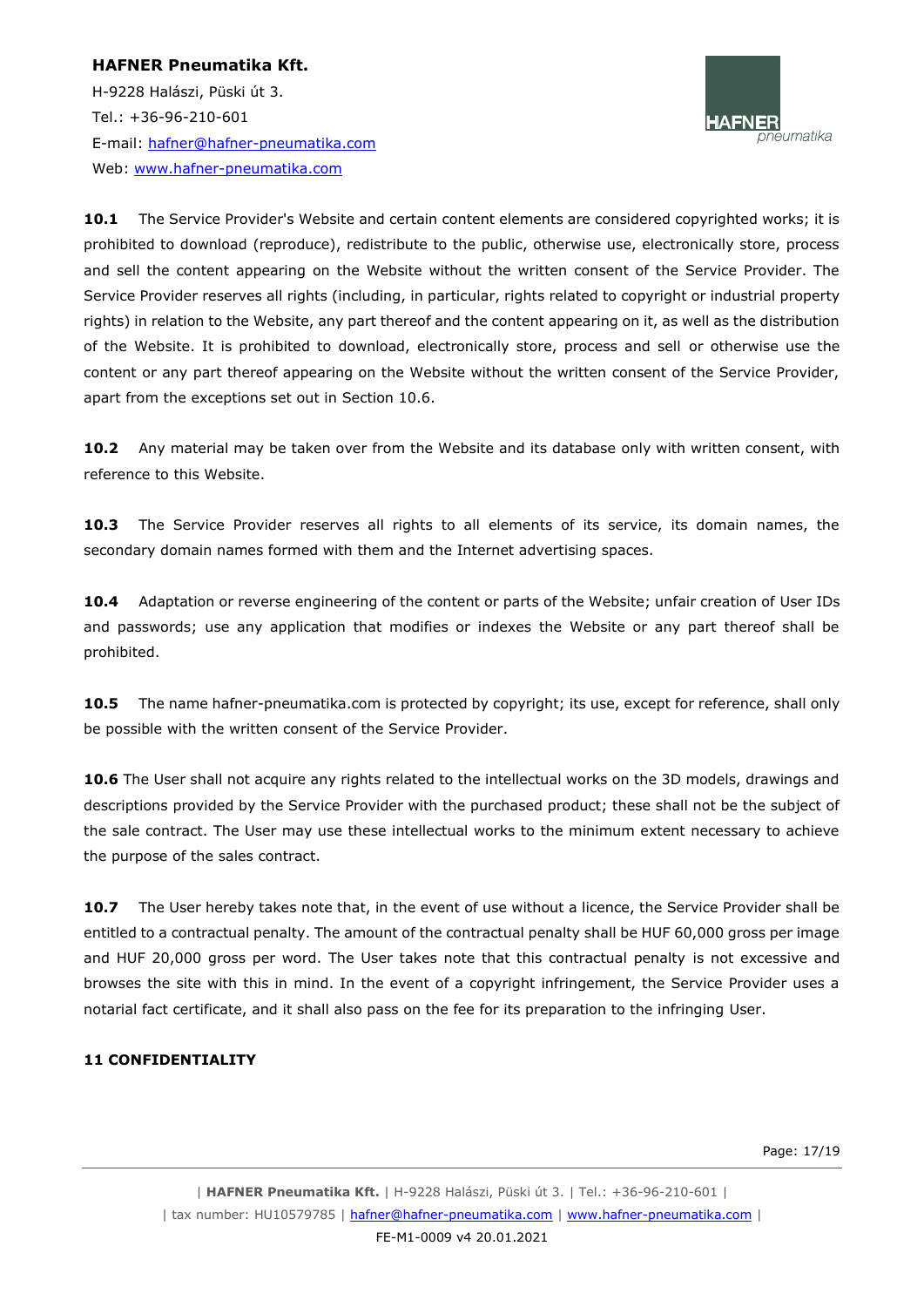H-9228 Halászi, Püski út 3. Tel.: +36-96-210-601 E-mail: [hafner@hafner-pneumatika.com](mailto:hafner@hafner-pneumatika.com) Web: [www.hafner-pneumatika.com](http://www.hafner-pneumatika.com/)



10.1 The Service Provider's Website and certain content elements are considered copyrighted works; it is prohibited to download (reproduce), redistribute to the public, otherwise use, electronically store, process and sell the content appearing on the Website without the written consent of the Service Provider. The Service Provider reserves all rights (including, in particular, rights related to copyright or industrial property rights) in relation to the Website, any part thereof and the content appearing on it, as well as the distribution of the Website. It is prohibited to download, electronically store, process and sell or otherwise use the content or any part thereof appearing on the Website without the written consent of the Service Provider, apart from the exceptions set out in Section 10.6.

**10.2** Any material may be taken over from the Website and its database only with written consent, with reference to this Website.

**10.3** The Service Provider reserves all rights to all elements of its service, its domain names, the secondary domain names formed with them and the Internet advertising spaces.

**10.4** Adaptation or reverse engineering of the content or parts of the Website; unfair creation of User IDs and passwords; use any application that modifies or indexes the Website or any part thereof shall be prohibited.

**10.5** The name hafner-pneumatika.com is protected by copyright; its use, except for reference, shall only be possible with the written consent of the Service Provider.

**10.6** The User shall not acquire any rights related to the intellectual works on the 3D models, drawings and descriptions provided by the Service Provider with the purchased product; these shall not be the subject of the sale contract. The User may use these intellectual works to the minimum extent necessary to achieve the purpose of the sales contract.

**10.7** The User hereby takes note that, in the event of use without a licence, the Service Provider shall be entitled to a contractual penalty. The amount of the contractual penalty shall be HUF 60,000 gross per image and HUF 20,000 gross per word. The User takes note that this contractual penalty is not excessive and browses the site with this in mind. In the event of a copyright infringement, the Service Provider uses a notarial fact certificate, and it shall also pass on the fee for its preparation to the infringing User.

#### **11 CONFIDENTIALITY**

Page: 17/19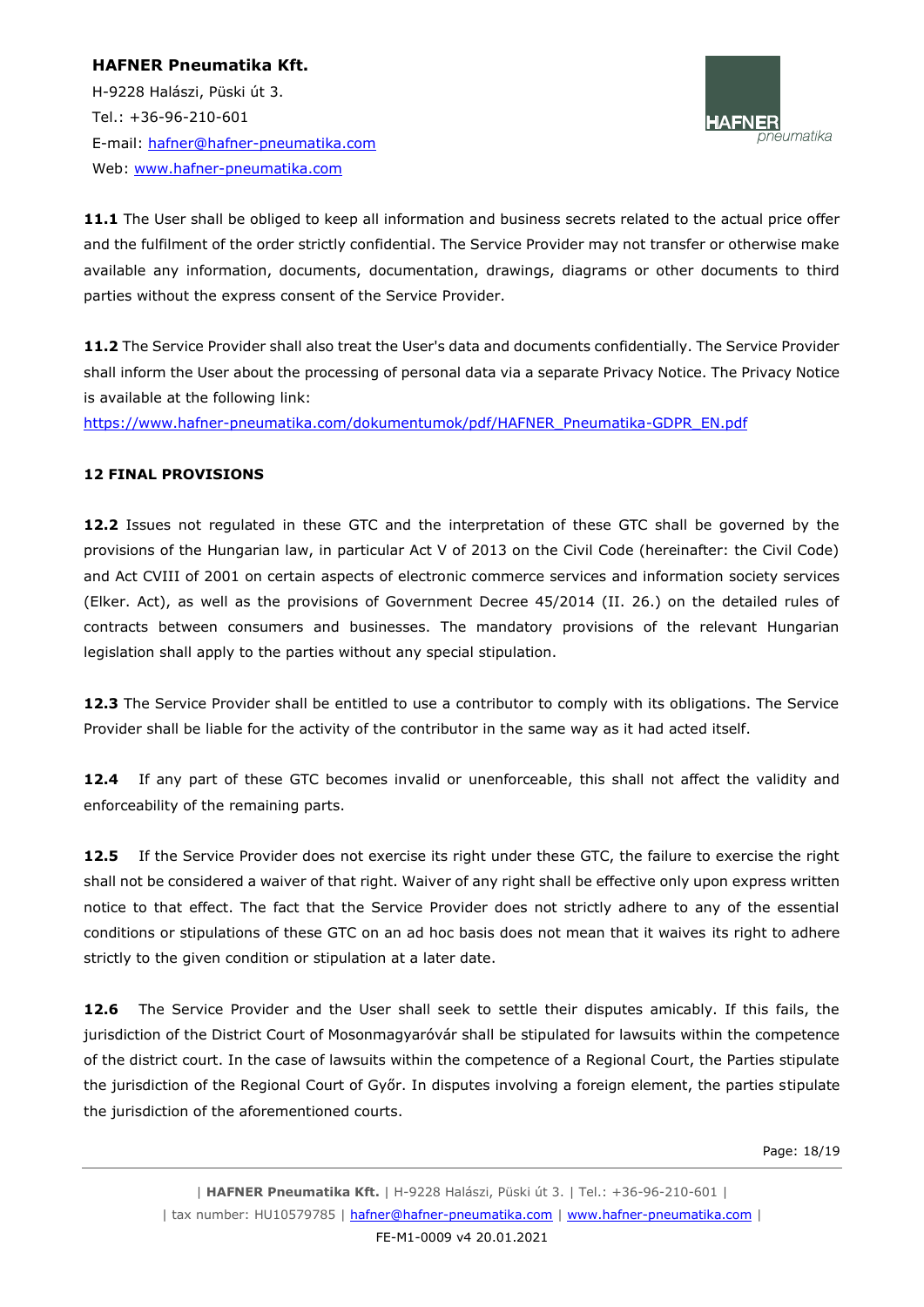H-9228 Halászi, Püski út 3. Tel.: +36-96-210-601 E-mail: [hafner@hafner-pneumatika.com](mailto:hafner@hafner-pneumatika.com) Web: [www.hafner-pneumatika.com](http://www.hafner-pneumatika.com/)



**11.1** The User shall be obliged to keep all information and business secrets related to the actual price offer and the fulfilment of the order strictly confidential. The Service Provider may not transfer or otherwise make available any information, documents, documentation, drawings, diagrams or other documents to third parties without the express consent of the Service Provider.

**11.2** The Service Provider shall also treat the User's data and documents confidentially. The Service Provider shall inform the User about the processing of personal data via a separate Privacy Notice. The Privacy Notice is available at the following link:

[https://www.hafner-pneumatika.com/dokumentumok/pdf/HAFNER\\_Pneumatika-GDPR\\_EN.pdf](https://www.hafner-pneumatika.com/dokumentumok/pdf/HAFNER_Pneumatika-GDPR_EN.pdf)

# **12 FINAL PROVISIONS**

**12.2** Issues not regulated in these GTC and the interpretation of these GTC shall be governed by the provisions of the Hungarian law, in particular Act V of 2013 on the Civil Code (hereinafter: the Civil Code) and Act CVIII of 2001 on certain aspects of electronic commerce services and information society services (Elker. Act), as well as the provisions of Government Decree 45/2014 (II. 26.) on the detailed rules of contracts between consumers and businesses. The mandatory provisions of the relevant Hungarian legislation shall apply to the parties without any special stipulation.

**12.3** The Service Provider shall be entitled to use a contributor to comply with its obligations. The Service Provider shall be liable for the activity of the contributor in the same way as it had acted itself.

**12.4** If any part of these GTC becomes invalid or unenforceable, this shall not affect the validity and enforceability of the remaining parts.

**12.5** If the Service Provider does not exercise its right under these GTC, the failure to exercise the right shall not be considered a waiver of that right. Waiver of any right shall be effective only upon express written notice to that effect. The fact that the Service Provider does not strictly adhere to any of the essential conditions or stipulations of these GTC on an ad hoc basis does not mean that it waives its right to adhere strictly to the given condition or stipulation at a later date.

**12.6** The Service Provider and the User shall seek to settle their disputes amicably. If this fails, the jurisdiction of the District Court of Mosonmagyaróvár shall be stipulated for lawsuits within the competence of the district court. In the case of lawsuits within the competence of a Regional Court, the Parties stipulate the jurisdiction of the Regional Court of Győr. In disputes involving a foreign element, the parties stipulate the jurisdiction of the aforementioned courts.

Page: 18/19